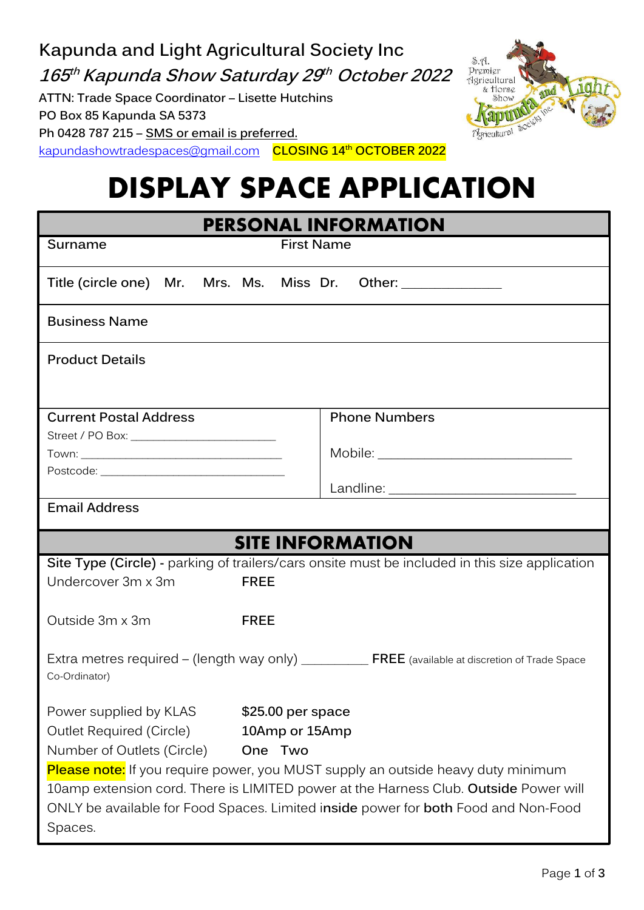**Kapunda and Light Agricultural Society Inc**  $S.\Lambda$ a.p.<br>Premier<br>Agricultural<br>& Horse<br>Show **165 th Kapunda Show Saturday 29 th October 2022 ATTN: Trade Space Coordinator – Lisette Hutchins PO Box 85 Kapunda SA 5373 Ph 0428 787 215 – SMS or email is preferred.**



[kapundashowtradespaces@gmail.com](mailto:kapundashowtradespaces@gmail.com) **CLOSING 14th OCTOBER 2022**

# **DISPLAY SPACE APPLICATION**

| <b>PERSONAL INFORMATION</b>              |                   |                                                                                                  |
|------------------------------------------|-------------------|--------------------------------------------------------------------------------------------------|
| Surname                                  | <b>First Name</b> |                                                                                                  |
| Title (circle one) Mr. Mrs. Ms. Miss Dr. |                   | Other: ______________                                                                            |
| <b>Business Name</b>                     |                   |                                                                                                  |
| <b>Product Details</b>                   |                   |                                                                                                  |
| <b>Current Postal Address</b>            |                   | <b>Phone Numbers</b>                                                                             |
|                                          |                   |                                                                                                  |
|                                          |                   |                                                                                                  |
|                                          |                   |                                                                                                  |
| <b>Email Address</b>                     |                   |                                                                                                  |
| <b>SITE INFORMATION</b>                  |                   |                                                                                                  |
|                                          |                   |                                                                                                  |
|                                          |                   | Site Type (Circle) - parking of trailers/cars onsite must be included in this size application   |
| Undercover 3m x 3m                       | <b>FREE</b>       |                                                                                                  |
| Outside 3m x 3m                          | <b>FREE</b>       |                                                                                                  |
| Co-Ordinator)                            |                   | Extra metres required – (length way only) _________ FREE (available at discretion of Trade Space |
| Power supplied by KLAS                   | \$25.00 per space |                                                                                                  |
| <b>Outlet Required (Circle)</b>          | 10Amp or 15Amp    |                                                                                                  |
| Number of Outlets (Circle)               | One Two           |                                                                                                  |
|                                          |                   | Please note: If you require power, you MUST supply an outside heavy duty minimum                 |
|                                          |                   | 10amp extension cord. There is LIMITED power at the Harness Club. Outside Power will             |
|                                          |                   | ONLY be available for Food Spaces. Limited inside power for both Food and Non-Food               |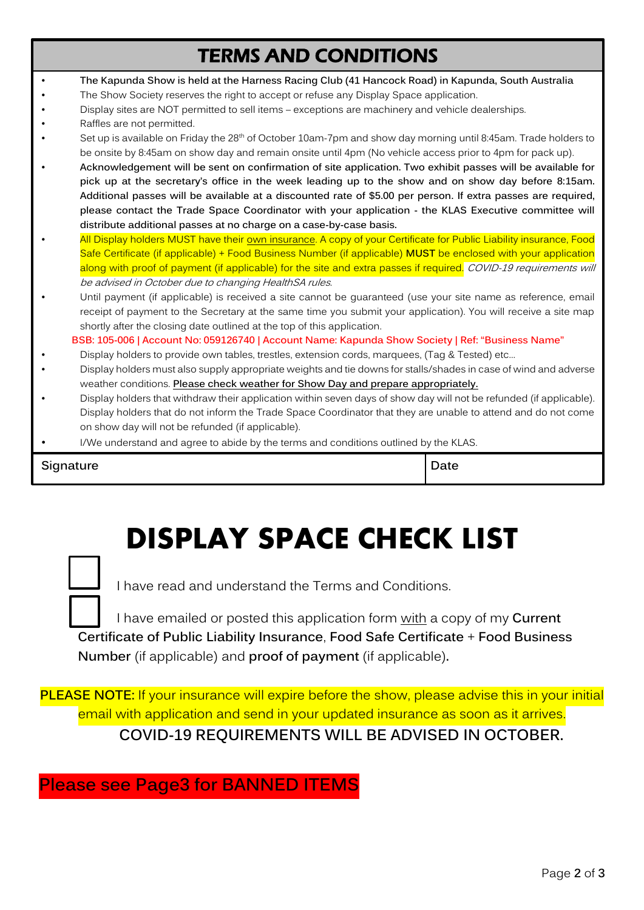### TERMS AND CONDITIONS

- **The Kapunda Show is held at the Harness Racing Club (41 Hancock Road) in Kapunda, South Australia**
- The Show Society reserves the right to accept or refuse any Display Space application.
- Display sites are NOT permitted to sell items exceptions are machinery and vehicle dealerships.
- Raffles are not permitted.
- Set up is available on Friday the 28<sup>th</sup> of October 10am-7pm and show day morning until 8:45am. Trade holders to be onsite by 8:45am on show day and remain onsite until 4pm (No vehicle access prior to 4pm for pack up).
- **Acknowledgement will be sent on confirmation of site application. Two exhibit passes will be available for pick up at the secretary's office in the week leading up to the show and on show day before 8:15am. Additional passes will be available at a discounted rate of \$5.00 per person. If extra passes are required, please contact the Trade Space Coordinator with your application - the KLAS Executive committee will distribute additional passes at no charge on a case-by-case basis.**
- All Display holders MUST have their own insurance. A copy of your Certificate for Public Liability insurance, Food Safe Certificate (if applicable) + Food Business Number (if applicable) **MUST** be enclosed with your application along with proof of payment (if applicable) for the site and extra passes if required. COVID-19 requirements will be advised in October due to changing HealthSA rules.
- Until payment (if applicable) is received a site cannot be guaranteed (use your site name as reference, email receipt of payment to the Secretary at the same time you submit your application). You will receive a site map shortly after the closing date outlined at the top of this application.

**BSB: 105-006 | Account No: 059126740 | Account Name: Kapunda Show Society | Ref: "Business Name"**

- Display holders to provide own tables, trestles, extension cords, marquees, (Tag & Tested) etc…
- Display holders must also supply appropriate weights and tie downs for stalls/shades in case of wind and adverse weather conditions. **Please check weather for Show Day and prepare appropriately.**
- Display holders that withdraw their application within seven days of show day will not be refunded (if applicable). Display holders that do not inform the Trade Space Coordinator that they are unable to attend and do not come on show day will not be refunded (if applicable).
- I/We understand and agree to abide by the terms and conditions outlined by the KLAS.

**Signature Date** 

## **DISPLAY SPACE CHECK LIST**



I have read and understand the Terms and Conditions.

I have emailed or posted this application form with a copy of my **Current Certificate of Public Liability Insurance**, **Food Safe Certificate** + **Food Business Number** (if applicable) and **proof of payment** (if applicable)**.** 

**PLEASE NOTE:** If your insurance will expire before the show, please advise this in your initial email with application and send in your updated insurance as soon as it arrives. **COVID-19 REQUIREMENTS WILL BE ADVISED IN OCTOBER.**

**Please see Page3 for BANNED ITEMS**